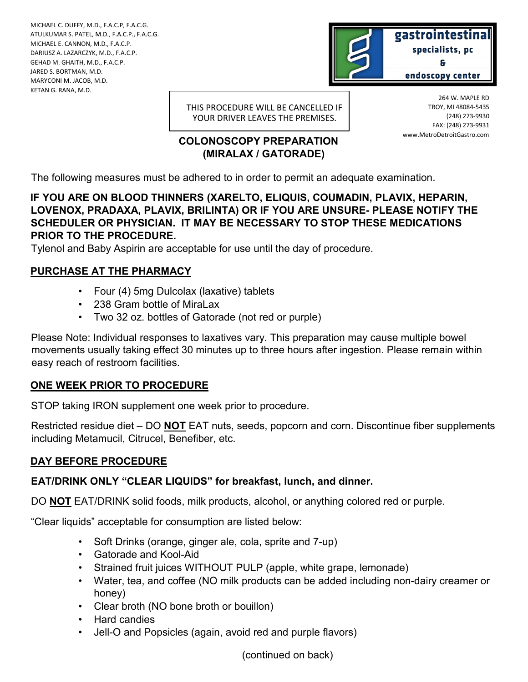MICHAEL C. DUFFY, M.D., F.A.C.P, F.A.C.G. ATULKUMAR S. PATEL, M.D., F.A.C.P., F.A.C.G. MICHAEL E. CANNON, M.D., F.A.C.P. DARIUSZ A. LAZARCZYK, M.D., F.A.C.P. GEHAD M. GHAITH, M.D., F.A.C.P. JARED S. BORTMAN, M.D. MARYCONI M. JACOB, M.D. KETAN G. RANA, M.D.



THIS PROCEDURE WILL BE CANCELLED IF YOUR DRIVER LEAVES THE PREMISES.

# **COLONOSCOPY PREPARATION (MIRALAX / GATORADE)**

264 W. MAPLE RD TROY, MI 48084-5435 (248) 273-9930 FAX: (248) 273-9931 www.MetroDetroitGastro.com

The following measures must be adhered to in order to permit an adequate examination.

**IF YOU ARE ON BLOOD THINNERS (XARELTO, ELIQUIS, COUMADIN, PLAVIX, HEPARIN, LOVENOX, PRADAXA, PLAVIX, BRILINTA) OR IF YOU ARE UNSURE- PLEASE NOTIFY THE SCHEDULER OR PHYSICIAN. IT MAY BE NECESSARY TO STOP THESE MEDICATIONS PRIOR TO THE PROCEDURE.**

Tylenol and Baby Aspirin are acceptable for use until the day of procedure.

#### **PURCHASE AT THE PHARMACY**

- Four (4) 5mg Dulcolax (laxative) tablets
- 238 Gram bottle of MiraLax
- Two 32 oz. bottles of Gatorade (not red or purple)

Please Note: Individual responses to laxatives vary. This preparation may cause multiple bowel movements usually taking effect 30 minutes up to three hours after ingestion. Please remain within easy reach of restroom facilities.

# **ONE WEEK PRIOR TO PROCEDURE**

STOP taking IRON supplement one week prior to procedure.

Restricted residue diet – DO **NOT** EAT nuts, seeds, popcorn and corn. Discontinue fiber supplements including Metamucil, Citrucel, Benefiber, etc.

# **DAY BEFORE PROCEDURE**

# **EAT/DRINK ONLY "CLEAR LIQUIDS" for breakfast, lunch, and dinner.**

DO **NOT** EAT/DRINK solid foods, milk products, alcohol, or anything colored red or purple.

"Clear liquids" acceptable for consumption are listed below:

- Soft Drinks (orange, ginger ale, cola, sprite and 7-up)
- Gatorade and Kool-Aid
- Strained fruit juices WITHOUT PULP (apple, white grape, lemonade)
- Water, tea, and coffee (NO milk products can be added including non-dairy creamer or honey)
- Clear broth (NO bone broth or bouillon)
- Hard candies
- Jell-O and Popsicles (again, avoid red and purple flavors)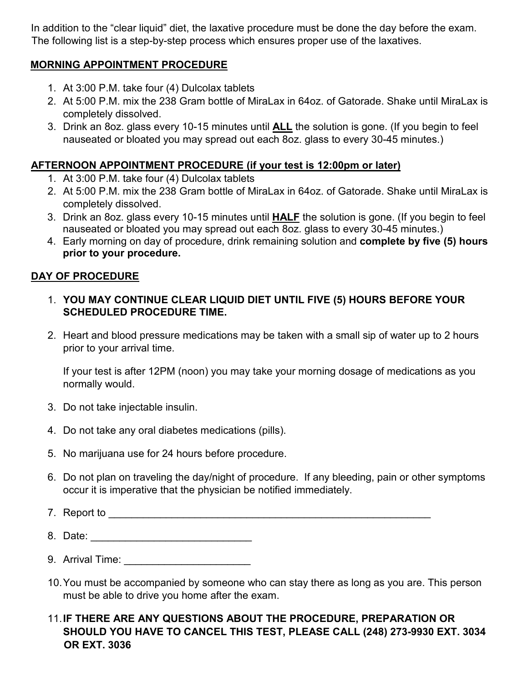In addition to the "clear liquid" diet, the laxative procedure must be done the day before the exam. The following list is a step-by-step process which ensures proper use of the laxatives.

#### **MORNING APPOINTMENT PROCEDURE**

- 1. At 3:00 P.M. take four (4) Dulcolax tablets
- 2. At 5:00 P.M. mix the 238 Gram bottle of MiraLax in 64oz. of Gatorade. Shake until MiraLax is completely dissolved.
- 3. Drink an 8oz. glass every 10-15 minutes until **ALL** the solution is gone. (If you begin to feel nauseated or bloated you may spread out each 8oz. glass to every 30-45 minutes.)

#### **AFTERNOON APPOINTMENT PROCEDURE (if your test is 12:00pm or later)**

- 1. At 3:00 P.M. take four (4) Dulcolax tablets
- 2. At 5:00 P.M. mix the 238 Gram bottle of MiraLax in 64oz. of Gatorade. Shake until MiraLax is completely dissolved.
- 3. Drink an 8oz. glass every 10-15 minutes until **HALF** the solution is gone. (If you begin to feel nauseated or bloated you may spread out each 8oz. glass to every 30-45 minutes.)
- 4. Early morning on day of procedure, drink remaining solution and **complete by five (5) hours prior to your procedure.**

#### **DAY OF PROCEDURE**

- 1. **YOU MAY CONTINUE CLEAR LIQUID DIET UNTIL FIVE (5) HOURS BEFORE YOUR SCHEDULED PROCEDURE TIME.**
- 2. Heart and blood pressure medications may be taken with a small sip of water up to 2 hours prior to your arrival time.

If your test is after 12PM (noon) you may take your morning dosage of medications as you normally would.

- 3. Do not take injectable insulin.
- 4. Do not take any oral diabetes medications (pills).
- 5. No marijuana use for 24 hours before procedure.
- 6. Do not plan on traveling the day/night of procedure. If any bleeding, pain or other symptoms occur it is imperative that the physician be notified immediately.
- 7. Report to \_\_\_\_\_\_\_\_\_\_\_\_\_\_\_\_\_\_\_\_\_\_\_\_\_\_\_\_\_\_\_\_\_\_\_\_\_\_\_\_\_\_\_\_\_\_\_\_\_\_\_\_\_\_\_\_
- 8. Date: \_\_\_\_\_\_\_\_\_\_\_\_\_\_\_\_\_\_\_\_\_\_\_\_\_\_\_\_
- 9. Arrival Time:
- 10.You must be accompanied by someone who can stay there as long as you are. This person must be able to drive you home after the exam.

#### 11.**IF THERE ARE ANY QUESTIONS ABOUT THE PROCEDURE, PREPARATION OR SHOULD YOU HAVE TO CANCEL THIS TEST, PLEASE CALL (248) 273-9930 EXT. 3034 OR EXT. 3036**